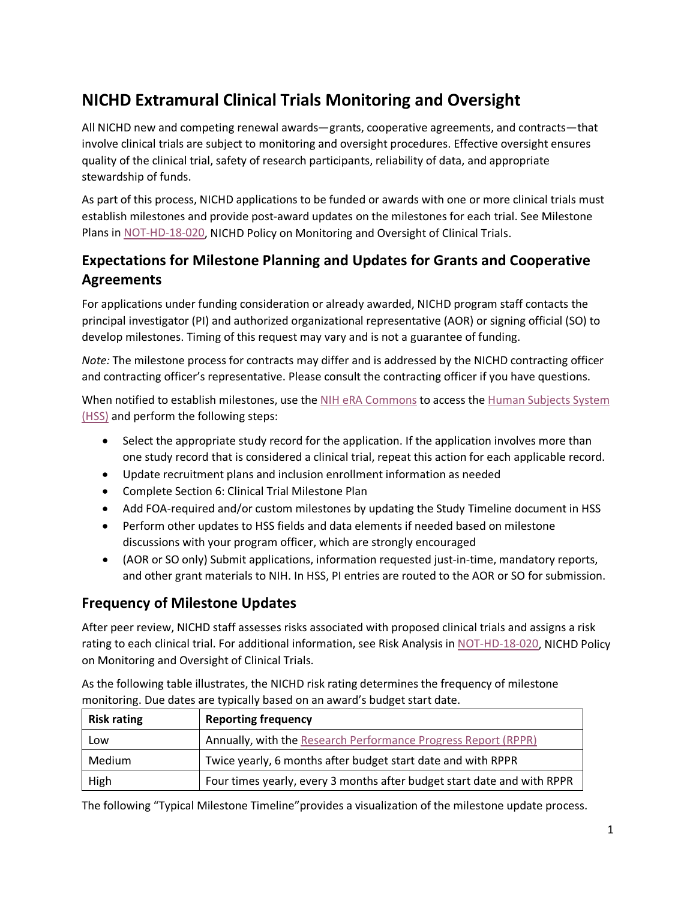# **NICHD Extramural Clinical Trials Monitoring and Oversight**

All NICHD new and competing renewal awards—grants, cooperative agreements, and contracts—that involve clinical trials are subject to monitoring and oversight procedures. Effective oversight ensures quality of the clinical trial, safety of research participants, reliability of data, and appropriate stewardship of funds.

As part of this process, NICHD applications to be funded or awards with one or more clinical trials must establish milestones and provide post-award updates on the milestones for each trial. See Milestone Plans in [NOT-HD-18-020,](https://grants.nih.gov/grants/guide/notice-files/NOT-HD-18-020.html) NICHD Policy on Monitoring and Oversight of Clinical Trials.

## **Expectations for Milestone Planning and Updates for Grants and Cooperative Agreements**

For applications under funding consideration or already awarded, NICHD program staff contacts the principal investigator (PI) and authorized organizational representative (AOR) or signing official (SO) to develop milestones. Timing of this request may vary and is not a guarantee of funding.

*Note:* The milestone process for contracts may differ and is addressed by the NICHD contracting officer and contracting officer's representative. Please consult the contracting officer if you have questions.

When notified to establish milestones, use the NIH eRA [Commons](https://public.era.nih.gov/commons/public/login.do?TARGET=https%3A%2F%2Fpublic.era.nih.gov%2Fcommons%2F) to access the [Human Subjects System](https://era.nih.gov/hss_overview.cfm)  [\(HSS\)](https://era.nih.gov/hss_overview.cfm) and perform the following steps:

- Select the appropriate study record for the application. If the application involves more than one study record that is considered a clinical trial, repeat this action for each applicable record.
- Update recruitment plans and inclusion enrollment information as needed
- Complete Section 6: Clinical Trial Milestone Plan
- Add FOA-required and/or custom milestones by updating the Study Timeline document in HSS
- Perform other updates to HSS fields and data elements if needed based on milestone discussions with your program officer, which are strongly encouraged
- (AOR or SO only) Submit applications, information requested just-in-time, mandatory reports, and other grant materials to NIH. In HSS, PI entries are routed to the AOR or SO for submission.

## **Frequency of Milestone Updates**

After peer review, NICHD staff assesses risks associated with proposed clinical trials and assigns a risk rating to each clinical trial. For additional information, see Risk Analysis i[n NOT-HD-18-020,](https://grants.nih.gov/grants/guide/notice-files/NOT-HD-18-020.html) NICHD Policy on Monitoring and Oversight of Clinical Trials.

As the following table illustrates, the NICHD risk rating determines the frequency of milestone monitoring. Due dates are typically based on an award's budget start date.

| <b>Risk rating</b> | <b>Reporting frequency</b>                                              |
|--------------------|-------------------------------------------------------------------------|
| Low                | Annually, with the Research Performance Progress Report (RPPR)          |
| Medium             | Twice yearly, 6 months after budget start date and with RPPR            |
| High               | Four times yearly, every 3 months after budget start date and with RPPR |

The following "Typical Milestone Timeline"provides a visualization of the milestone update process.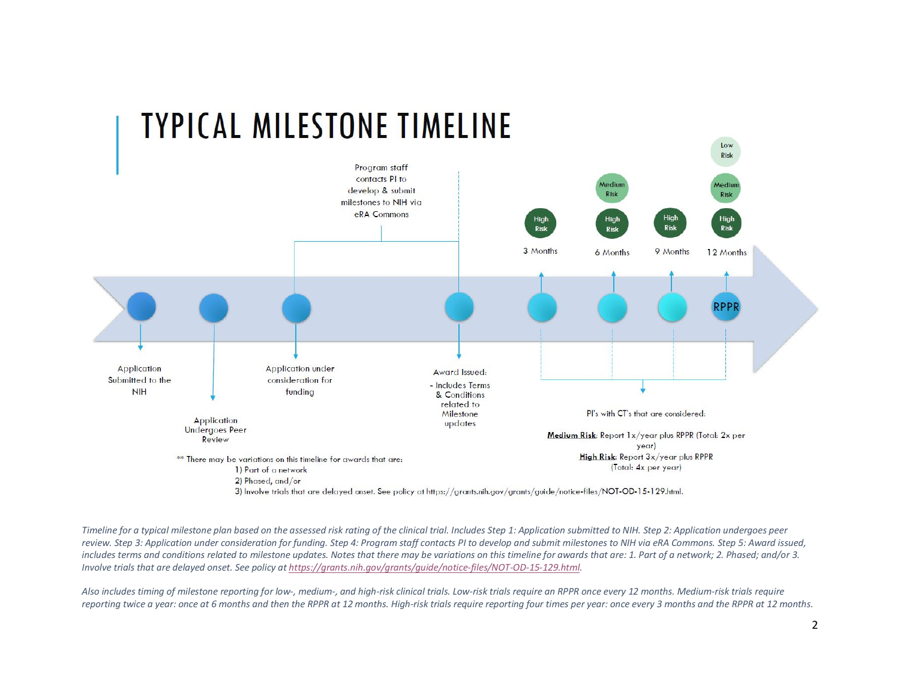

#### *Timeline for a typical milestone plan based on the assessed risk rating of the clinical trial. Includes Step 1: Application submitted to NIH. Step 2: Application undergoes peer review. Step 3: Application under consideration for funding. Step 4: Program staff contacts PI to develop and submit milestones to NIH via eRA Commons. Step 5: Award issued,*  includes terms and conditions related to milestone updates. Notes that there may be variations on this timeline for awards that are: 1. Part of a network; 2. Phased; and/or 3. *Involve trials that are delayed onset. See policy a[t https://grants.nih.gov/grants/guide/notice-files/NOT-OD-15-129.html.](https://grants.nih.gov/grants/guide/notice-files/NOT-OD-15-129.html)*

*Also includes timing of milestone reporting for low-, medium-, and high-risk clinical trials. Low-risk trials require an RPPR once every 12 months. Medium-risk trials require reporting twice a year: once at 6 months and then the RPPR at 12 months. High-risk trials require reporting four times per year: once every 3 months and the RPPR at 12 months.*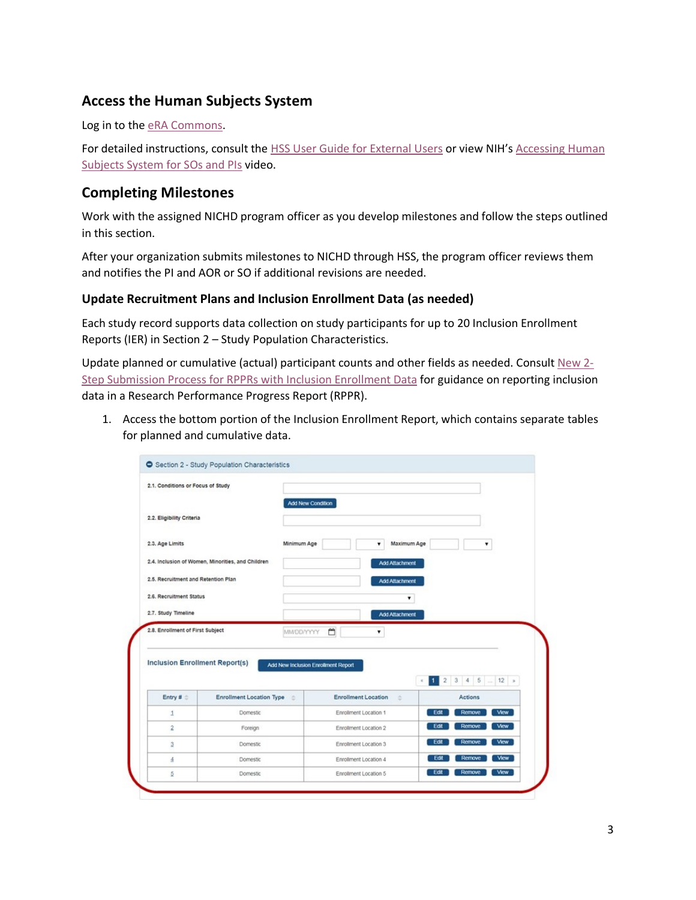## **Access the Human Subjects System**

Log in to the [eRA Commons.](https://public.era.nih.gov/commons)

For detailed instructions, consult the [HSS User Guide for External Users](https://era.nih.gov/files/HSS_user_guide.pdf) or view NIH's Accessing Human [Subjects System for SOs and PIs](https://era.nih.gov/era_training/era_videos.cfm#HSCT-Accessing) video.

## **Completing Milestones**

Work with the assigned NICHD program officer as you develop milestones and follow the steps outlined in this section.

After your organization submits milestones to NICHD through HSS, the program officer reviews them and notifies the PI and AOR or SO if additional revisions are needed.

#### **Update Recruitment Plans and Inclusion Enrollment Data (as needed)**

Each study record supports data collection on study participants for up to 20 Inclusion Enrollment Reports (IER) in Section 2 – Study Population Characteristics.

Update planned or cumulative (actual) participant counts and other fields as needed. Consult New  $2$ -[Step Submission Process for RPPRs with Inclusion Enrollment Data](https://era.nih.gov/node/522) for guidance on reporting inclusion data in a Research Performance Progress Report (RPPR).

1. Access the bottom portion of the Inclusion Enrollment Report, which contains separate tables for planned and cumulative data.

| 2.1. Conditions or Focus of Study                    |                                                   |                                     |                            |                       |                                           |             |
|------------------------------------------------------|---------------------------------------------------|-------------------------------------|----------------------------|-----------------------|-------------------------------------------|-------------|
| 2.2. Eligibility Criteria                            |                                                   | Add New Condition                   |                            |                       |                                           |             |
| 2.3. Age Limits                                      |                                                   | Minimum Age<br>Maximum Age<br>۰     |                            |                       |                                           |             |
|                                                      | 2.4. Inclusion of Women, Minorities, and Children |                                     |                            | Add Attachment        |                                           |             |
| 2.5. Recruitment and Retention Plan                  |                                                   |                                     |                            | <b>Add Attachment</b> |                                           |             |
| 2.6. Recruitment Status                              |                                                   |                                     |                            | ۰                     |                                           |             |
| 2.7. Study Timeline                                  |                                                   |                                     |                            | Add Attachment        |                                           |             |
|                                                      |                                                   |                                     | MMDD/YYYY<br>۰             |                       |                                           |             |
|                                                      |                                                   | Add New Inclusion Enrollment Report | ᠿ                          | 1                     | $3 \ 4 \ 5 \  \ 12 \ *$<br>$\overline{2}$ |             |
| <b>Inclusion Enrollment Report(s)</b><br>Entry # $<$ | <b>Enrollment Location Type</b>                   | ×                                   | <b>Enrollment Location</b> | ÷                     | <b>Actions</b>                            |             |
| 1                                                    | Domestic                                          |                                     | Enrollment Location 1      | Edit                  | Remove                                    | <b>View</b> |
| $\overline{2}$                                       | Foreign                                           |                                     | Enrollment Location 2      | Edit                  | Remove                                    | View        |
| $\overline{3}$                                       | <b>Domestic</b>                                   |                                     | Enrollment Location 3      | Edit                  | Remove                                    | View        |
| $\Delta$                                             | <b>Domestic</b>                                   |                                     | Enrollment Location 4      | Edit                  | Remove                                    | View        |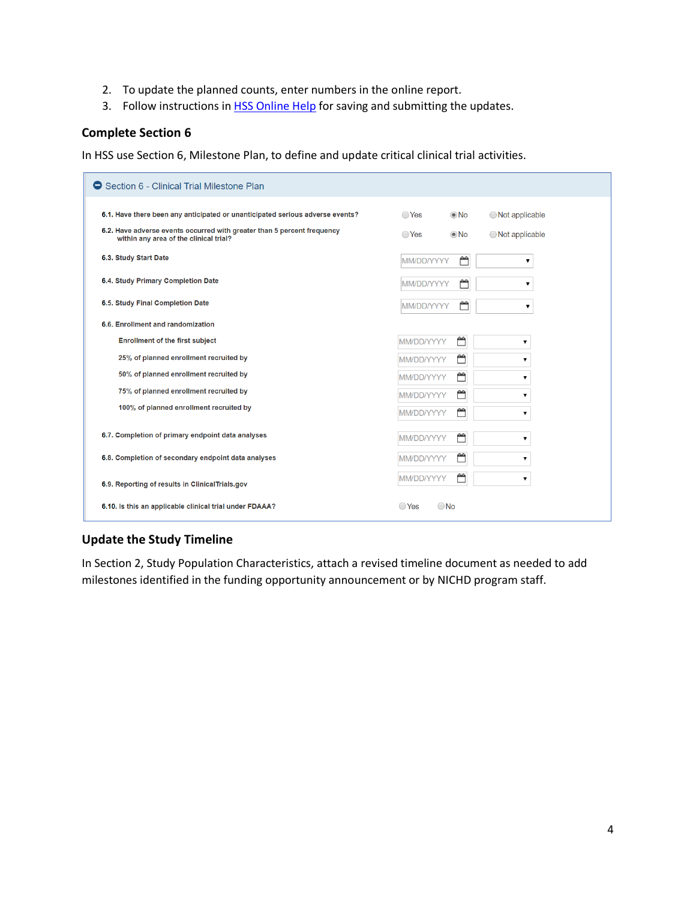- 2. To update the planned counts, enter numbers in the online report.
- 3. Follow instructions in [HSS Online Help](https://era.nih.gov/erahelp/HSS_External/) for saving and submitting the updates.

#### **Complete Section 6**

In HSS use Section 6, Milestone Plan, to define and update critical clinical trial activities.

| ● Section 6 - Clinical Trial Milestone Plan                                                                                                                                                        |                                  |                          |                                      |  |  |  |
|----------------------------------------------------------------------------------------------------------------------------------------------------------------------------------------------------|----------------------------------|--------------------------|--------------------------------------|--|--|--|
| 6.1. Have there been any anticipated or unanticipated serious adverse events?<br>6.2. Have adverse events occurred with greater than 5 percent frequency<br>within any area of the clinical trial? | $\bigcirc$ Yes<br>$\bigcirc$ Yes | $\odot$ No<br>$\odot$ No | ◯ Not applicable<br>◯ Not applicable |  |  |  |
| 6.3. Study Start Date                                                                                                                                                                              | <b>MM/DD/YYYY</b>                | ٣                        | ▼                                    |  |  |  |
| 6.4. Study Primary Completion Date                                                                                                                                                                 | MM/DD/YYYY                       | ٣                        | ▼                                    |  |  |  |
| 6.5. Study Final Completion Date                                                                                                                                                                   | <b>MM/DD/YYYY</b>                | ٣                        | ▼                                    |  |  |  |
| 6.6. Enrollment and randomization                                                                                                                                                                  |                                  |                          |                                      |  |  |  |
| <b>Enrollment of the first subject</b>                                                                                                                                                             | MM/DD/YYYY                       | ٣                        | ▼                                    |  |  |  |
| 25% of planned enrollment recruited by                                                                                                                                                             | MM/DD/YYYY                       | m                        | ▼                                    |  |  |  |
| 50% of planned enrollment recruited by                                                                                                                                                             | MM/DD/YYYY                       | Ű                        | ▼                                    |  |  |  |
| 75% of planned enrollment recruited by                                                                                                                                                             | MM/DD/YYYY                       | m                        | ▼                                    |  |  |  |
| 100% of planned enrollment recruited by                                                                                                                                                            | MM/DD/YYYY                       | ۳                        | ▼                                    |  |  |  |
| 6.7. Completion of primary endpoint data analyses                                                                                                                                                  | MM/DD/YYYY                       | ٣                        | ▼                                    |  |  |  |
| 6.8. Completion of secondary endpoint data analyses                                                                                                                                                | MM/DD/YYYY                       | ٣                        | ▼                                    |  |  |  |
| 6.9. Reporting of results in Clinical Trials.gov                                                                                                                                                   | <b>MM/DD/YYYY</b>                | ٣                        | ▼                                    |  |  |  |
| 6.10. Is this an applicable clinical trial under FDAAA?                                                                                                                                            | $\bigcirc$ Yes                   | $\bigcirc$ No            |                                      |  |  |  |

## **Update the Study Timeline**

In Section 2, Study Population Characteristics, attach a revised timeline document as needed to add milestones identified in the funding opportunity announcement or by NICHD program staff.